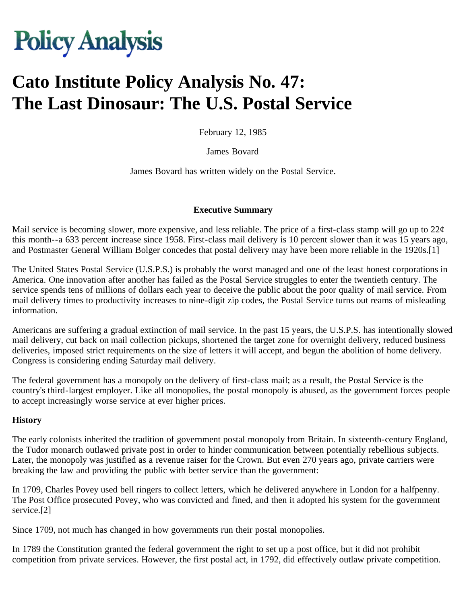# **Policy Analysis**

## **Cato Institute Policy Analysis No. 47: The Last Dinosaur: The U.S. Postal Service**

February 12, 1985

James Bovard

James Bovard has written widely on the Postal Service.

#### **Executive Summary**

Mail service is becoming slower, more expensive, and less reliable. The price of a first-class stamp will go up to  $22\phi$ this month--a 633 percent increase since 1958. First-class mail delivery is 10 percent slower than it was 15 years ago, and Postmaster General William Bolger concedes that postal delivery may have been more reliable in the 1920s.[1]

The United States Postal Service (U.S.P.S.) is probably the worst managed and one of the least honest corporations in America. One innovation after another has failed as the Postal Service struggles to enter the twentieth century. The service spends tens of millions of dollars each year to deceive the public about the poor quality of mail service. From mail delivery times to productivity increases to nine-digit zip codes, the Postal Service turns out reams of misleading information.

Americans are suffering a gradual extinction of mail service. In the past 15 years, the U.S.P.S. has intentionally slowed mail delivery, cut back on mail collection pickups, shortened the target zone for overnight delivery, reduced business deliveries, imposed strict requirements on the size of letters it will accept, and begun the abolition of home delivery. Congress is considering ending Saturday mail delivery.

The federal government has a monopoly on the delivery of first-class mail; as a result, the Postal Service is the country's third-largest employer. Like all monopolies, the postal monopoly is abused, as the government forces people to accept increasingly worse service at ever higher prices.

#### **History**

The early colonists inherited the tradition of government postal monopoly from Britain. In sixteenth-century England, the Tudor monarch outlawed private post in order to hinder communication between potentially rebellious subjects. Later, the monopoly was justified as a revenue raiser for the Crown. But even 270 years ago, private carriers were breaking the law and providing the public with better service than the government:

In 1709, Charles Povey used bell ringers to collect letters, which he delivered anywhere in London for a halfpenny. The Post Office prosecuted Povey, who was convicted and fined, and then it adopted his system for the government service.[2]

Since 1709, not much has changed in how governments run their postal monopolies.

In 1789 the Constitution granted the federal government the right to set up a post office, but it did not prohibit competition from private services. However, the first postal act, in 1792, did effectively outlaw private competition.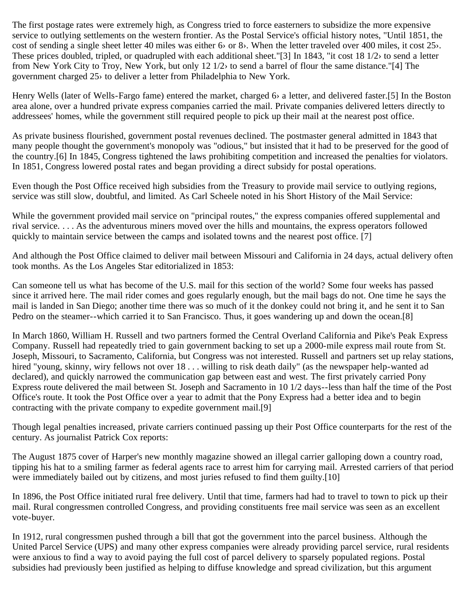The first postage rates were extremely high, as Congress tried to force easterners to subsidize the more expensive service to outlying settlements on the western frontier. As the Postal Service's official history notes, "Until 1851, the cost of sending a single sheet letter 40 miles was either 6› or 8›. When the letter traveled over 400 miles, it cost 25›. These prices doubled, tripled, or quadrupled with each additional sheet."[3] In 1843, "it cost 18 1/2› to send a letter from New York City to Troy, New York, but only 12 1/2› to send a barrel of flour the same distance."[4] The government charged 25› to deliver a letter from Philadelphia to New York.

Henry Wells (later of Wells-Fargo fame) entered the market, charged 6› a letter, and delivered faster.[5] In the Boston area alone, over a hundred private express companies carried the mail. Private companies delivered letters directly to addressees' homes, while the government still required people to pick up their mail at the nearest post office.

As private business flourished, government postal revenues declined. The postmaster general admitted in 1843 that many people thought the government's monopoly was "odious," but insisted that it had to be preserved for the good of the country.[6] In 1845, Congress tightened the laws prohibiting competition and increased the penalties for violators. In 1851, Congress lowered postal rates and began providing a direct subsidy for postal operations.

Even though the Post Office received high subsidies from the Treasury to provide mail service to outlying regions, service was still slow, doubtful, and limited. As Carl Scheele noted in his Short History of the Mail Service:

While the government provided mail service on "principal routes," the express companies offered supplemental and rival service. . . . As the adventurous miners moved over the hills and mountains, the express operators followed quickly to maintain service between the camps and isolated towns and the nearest post office. [7]

And although the Post Office claimed to deliver mail between Missouri and California in 24 days, actual delivery often took months. As the Los Angeles Star editorialized in 1853:

Can someone tell us what has become of the U.S. mail for this section of the world? Some four weeks has passed since it arrived here. The mail rider comes and goes regularly enough, but the mail bags do not. One time he says the mail is landed in San Diego; another time there was so much of it the donkey could not bring it, and he sent it to San Pedro on the steamer--which carried it to San Francisco. Thus, it goes wandering up and down the ocean.[8]

In March 1860, William H. Russell and two partners formed the Central Overland California and Pike's Peak Express Company. Russell had repeatedly tried to gain government backing to set up a 2000-mile express mail route from St. Joseph, Missouri, to Sacramento, California, but Congress was not interested. Russell and partners set up relay stations, hired "young, skinny, wiry fellows not over 18... willing to risk death daily" (as the newspaper help-wanted ad declared), and quickly narrowed the communication gap between east and west. The first privately carried Pony Express route delivered the mail between St. Joseph and Sacramento in 10 1/2 days--less than half the time of the Post Office's route. It took the Post Office over a year to admit that the Pony Express had a better idea and to begin contracting with the private company to expedite government mail.[9]

Though legal penalties increased, private carriers continued passing up their Post Office counterparts for the rest of the century. As journalist Patrick Cox reports:

The August 1875 cover of Harper's new monthly magazine showed an illegal carrier galloping down a country road, tipping his hat to a smiling farmer as federal agents race to arrest him for carrying mail. Arrested carriers of that period were immediately bailed out by citizens, and most juries refused to find them guilty.[10]

In 1896, the Post Office initiated rural free delivery. Until that time, farmers had had to travel to town to pick up their mail. Rural congressmen controlled Congress, and providing constituents free mail service was seen as an excellent vote-buyer.

In 1912, rural congressmen pushed through a bill that got the government into the parcel business. Although the United Parcel Service (UPS) and many other express companies were already providing parcel service, rural residents were anxious to find a way to avoid paying the full cost of parcel delivery to sparsely populated regions. Postal subsidies had previously been justified as helping to diffuse knowledge and spread civilization, but this argument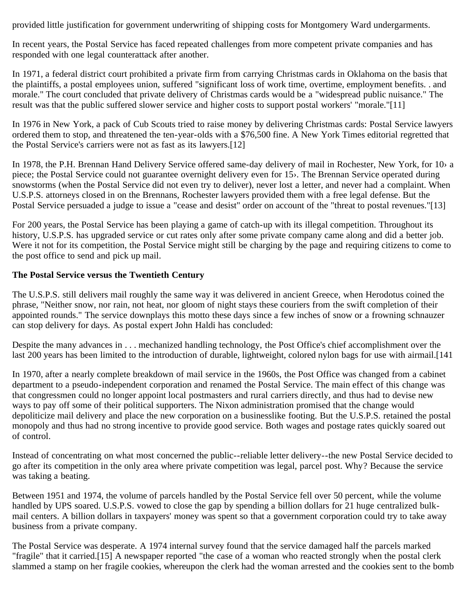provided little justification for government underwriting of shipping costs for Montgomery Ward undergarments.

In recent years, the Postal Service has faced repeated challenges from more competent private companies and has responded with one legal counterattack after another.

In 1971, a federal district court prohibited a private firm from carrying Christmas cards in Oklahoma on the basis that the plaintiffs, a postal employees union, suffered "significant loss of work time, overtime, employment benefits. . and morale." The court concluded that private delivery of Christmas cards would be a "widespread public nuisance." The result was that the public suffered slower service and higher costs to support postal workers' "morale."[11]

In 1976 in New York, a pack of Cub Scouts tried to raise money by delivering Christmas cards: Postal Service lawyers ordered them to stop, and threatened the ten-year-olds with a \$76,500 fine. A New York Times editorial regretted that the Postal Service's carriers were not as fast as its lawyers.[12]

In 1978, the P.H. Brennan Hand Delivery Service offered same-day delivery of mail in Rochester, New York, for 10› a piece; the Postal Service could not guarantee overnight delivery even for 15›. The Brennan Service operated during snowstorms (when the Postal Service did not even try to deliver), never lost a letter, and never had a complaint. When U.S.P.S. attorneys closed in on the Brennans, Rochester lawyers provided them with a free legal defense. But the Postal Service persuaded a judge to issue a "cease and desist" order on account of the "threat to postal revenues."[13]

For 200 years, the Postal Service has been playing a game of catch-up with its illegal competition. Throughout its history, U.S.P.S. has upgraded service or cut rates only after some private company came along and did a better job. Were it not for its competition, the Postal Service might still be charging by the page and requiring citizens to come to the post office to send and pick up mail.

#### **The Postal Service versus the Twentieth Century**

The U.S.P.S. still delivers mail roughly the same way it was delivered in ancient Greece, when Herodotus coined the phrase, "Neither snow, nor rain, not heat, nor gloom of night stays these couriers from the swift completion of their appointed rounds." The service downplays this motto these days since a few inches of snow or a frowning schnauzer can stop delivery for days. As postal expert John Haldi has concluded:

Despite the many advances in . . . mechanized handling technology, the Post Office's chief accomplishment over the last 200 years has been limited to the introduction of durable, lightweight, colored nylon bags for use with airmail.[141

In 1970, after a nearly complete breakdown of mail service in the 1960s, the Post Office was changed from a cabinet department to a pseudo-independent corporation and renamed the Postal Service. The main effect of this change was that congressmen could no longer appoint local postmasters and rural carriers directly, and thus had to devise new ways to pay off some of their political supporters. The Nixon administration promised that the change would depoliticize mail delivery and place the new corporation on a businesslike footing. But the U.S.P.S. retained the postal monopoly and thus had no strong incentive to provide good service. Both wages and postage rates quickly soared out of control.

Instead of concentrating on what most concerned the public--reliable letter delivery--the new Postal Service decided to go after its competition in the only area where private competition was legal, parcel post. Why? Because the service was taking a beating.

Between 1951 and 1974, the volume of parcels handled by the Postal Service fell over 50 percent, while the volume handled by UPS soared. U.S.P.S. vowed to close the gap by spending a billion dollars for 21 huge centralized bulkmail centers. A billion dollars in taxpayers' money was spent so that a government corporation could try to take away business from a private company.

The Postal Service was desperate. A 1974 internal survey found that the service damaged half the parcels marked "fragile" that it carried.[15] A newspaper reported "the case of a woman who reacted strongly when the postal clerk slammed a stamp on her fragile cookies, whereupon the clerk had the woman arrested and the cookies sent to the bomb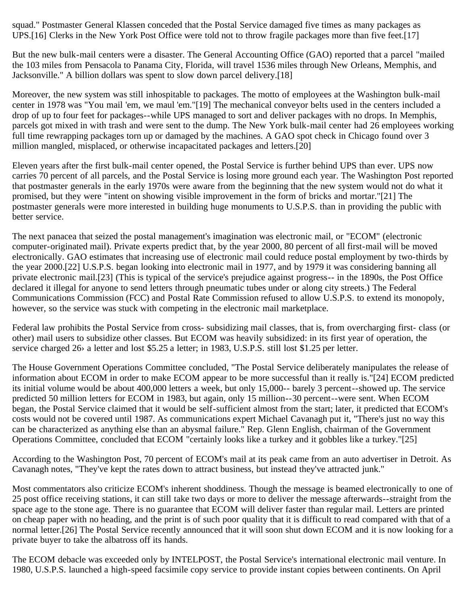squad." Postmaster General Klassen conceded that the Postal Service damaged five times as many packages as UPS.[16] Clerks in the New York Post Office were told not to throw fragile packages more than five feet.[17]

But the new bulk-mail centers were a disaster. The General Accounting Office (GAO) reported that a parcel "mailed the 103 miles from Pensacola to Panama City, Florida, will travel 1536 miles through New Orleans, Memphis, and Jacksonville." A billion dollars was spent to slow down parcel delivery.[18]

Moreover, the new system was still inhospitable to packages. The motto of employees at the Washington bulk-mail center in 1978 was "You mail 'em, we maul 'em."[19] The mechanical conveyor belts used in the centers included a drop of up to four feet for packages--while UPS managed to sort and deliver packages with no drops. In Memphis, parcels got mixed in with trash and were sent to the dump. The New York bulk-mail center had 26 employees working full time rewrapping packages torn up or damaged by the machines. A GAO spot check in Chicago found over 3 million mangled, misplaced, or otherwise incapacitated packages and letters.[20]

Eleven years after the first bulk-mail center opened, the Postal Service is further behind UPS than ever. UPS now carries 70 percent of all parcels, and the Postal Service is losing more ground each year. The Washington Post reported that postmaster generals in the early 1970s were aware from the beginning that the new system would not do what it promised, but they were "intent on showing visible improvement in the form of bricks and mortar."[21] The postmaster generals were more interested in building huge monuments to U.S.P.S. than in providing the public with better service.

The next panacea that seized the postal management's imagination was electronic mail, or "ECOM" (electronic computer-originated mail). Private experts predict that, by the year 2000, 80 percent of all first-mail will be moved electronically. GAO estimates that increasing use of electronic mail could reduce postal employment by two-thirds by the year 2000.[22] U.S.P.S. began looking into electronic mail in 1977, and by 1979 it was considering banning all private electronic mail.[23] (This is typical of the service's prejudice against progress-- in the 1890s, the Post Office declared it illegal for anyone to send letters through pneumatic tubes under or along city streets.) The Federal Communications Commission (FCC) and Postal Rate Commission refused to allow U.S.P.S. to extend its monopoly, however, so the service was stuck with competing in the electronic mail marketplace.

Federal law prohibits the Postal Service from cross- subsidizing mail classes, that is, from overcharging first- class (or other) mail users to subsidize other classes. But ECOM was heavily subsidized: in its first year of operation, the service charged 26> a letter and lost \$5.25 a letter; in 1983, U.S.P.S. still lost \$1.25 per letter.

The House Government Operations Committee concluded, "The Postal Service deliberately manipulates the release of information about ECOM in order to make ECOM appear to be more successful than it really is."[24] ECOM predicted its initial volume would be about 400,000 letters a week, but only 15,000-- barely 3 percent--showed up. The service predicted 50 million letters for ECOM in 1983, but again, only 15 million--30 percent--were sent. When ECOM began, the Postal Service claimed that it would be self-sufficient almost from the start; later, it predicted that ECOM's costs would not be covered until 1987. As communications expert Michael Cavanagh put it, "There's just no way this can be characterized as anything else than an abysmal failure." Rep. Glenn English, chairman of the Government Operations Committee, concluded that ECOM "certainly looks like a turkey and it gobbles like a turkey."[25]

According to the Washington Post, 70 percent of ECOM's mail at its peak came from an auto advertiser in Detroit. As Cavanagh notes, "They've kept the rates down to attract business, but instead they've attracted junk."

Most commentators also criticize ECOM's inherent shoddiness. Though the message is beamed electronically to one of 25 post office receiving stations, it can still take two days or more to deliver the message afterwards--straight from the space age to the stone age. There is no guarantee that ECOM will deliver faster than regular mail. Letters are printed on cheap paper with no heading, and the print is of such poor quality that it is difficult to read compared with that of a normal letter.[26] The Postal Service recently announced that it will soon shut down ECOM and it is now looking for a private buyer to take the albatross off its hands.

The ECOM debacle was exceeded only by INTELPOST, the Postal Service's international electronic mail venture. In 1980, U.S.P.S. launched a high-speed facsimile copy service to provide instant copies between continents. On April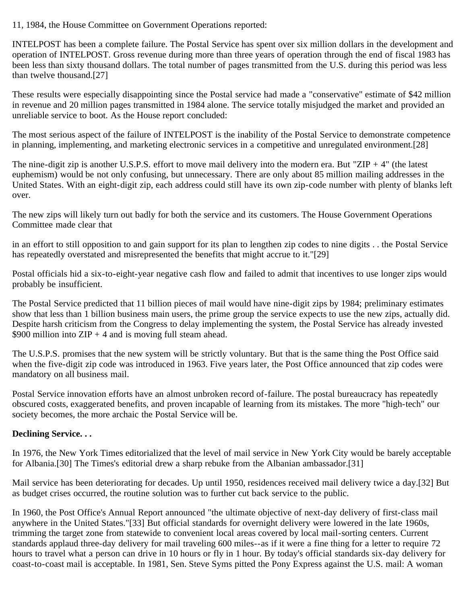11, 1984, the House Committee on Government Operations reported:

INTELPOST has been a complete failure. The Postal Service has spent over six million dollars in the development and operation of INTELPOST. Gross revenue during more than three years of operation through the end of fiscal 1983 has been less than sixty thousand dollars. The total number of pages transmitted from the U.S. during this period was less than twelve thousand.[27]

These results were especially disappointing since the Postal service had made a "conservative" estimate of \$42 million in revenue and 20 million pages transmitted in 1984 alone. The service totally misjudged the market and provided an unreliable service to boot. As the House report concluded:

The most serious aspect of the failure of INTELPOST is the inability of the Postal Service to demonstrate competence in planning, implementing, and marketing electronic services in a competitive and unregulated environment.[28]

The nine-digit zip is another U.S.P.S. effort to move mail delivery into the modern era. But "ZIP  $+4$ " (the latest euphemism) would be not only confusing, but unnecessary. There are only about 85 million mailing addresses in the United States. With an eight-digit zip, each address could still have its own zip-code number with plenty of blanks left over.

The new zips will likely turn out badly for both the service and its customers. The House Government Operations Committee made clear that

in an effort to still opposition to and gain support for its plan to lengthen zip codes to nine digits . . the Postal Service has repeatedly overstated and misrepresented the benefits that might accrue to it."[29]

Postal officials hid a six-to-eight-year negative cash flow and failed to admit that incentives to use longer zips would probably be insufficient.

The Postal Service predicted that 11 billion pieces of mail would have nine-digit zips by 1984; preliminary estimates show that less than 1 billion business main users, the prime group the service expects to use the new zips, actually did. Despite harsh criticism from the Congress to delay implementing the system, the Postal Service has already invested \$900 million into  $ZIP + 4$  and is moving full steam ahead.

The U.S.P.S. promises that the new system will be strictly voluntary. But that is the same thing the Post Office said when the five-digit zip code was introduced in 1963. Five years later, the Post Office announced that zip codes were mandatory on all business mail.

Postal Service innovation efforts have an almost unbroken record of-failure. The postal bureaucracy has repeatedly obscured costs, exaggerated benefits, and proven incapable of learning from its mistakes. The more "high-tech" our society becomes, the more archaic the Postal Service will be.

### **Declining Service. . .**

In 1976, the New York Times editorialized that the level of mail service in New York City would be barely acceptable for Albania.[30] The Times's editorial drew a sharp rebuke from the Albanian ambassador.[31]

Mail service has been deteriorating for decades. Up until 1950, residences received mail delivery twice a day.[32] But as budget crises occurred, the routine solution was to further cut back service to the public.

In 1960, the Post Office's Annual Report announced "the ultimate objective of next-day delivery of first-class mail anywhere in the United States."[33] But official standards for overnight delivery were lowered in the late 1960s, trimming the target zone from statewide to convenient local areas covered by local mail-sorting centers. Current standards applaud three-day delivery for mail traveling 600 miles--as if it were a fine thing for a letter to require 72 hours to travel what a person can drive in 10 hours or fly in 1 hour. By today's official standards six-day delivery for coast-to-coast mail is acceptable. In 1981, Sen. Steve Syms pitted the Pony Express against the U.S. mail: A woman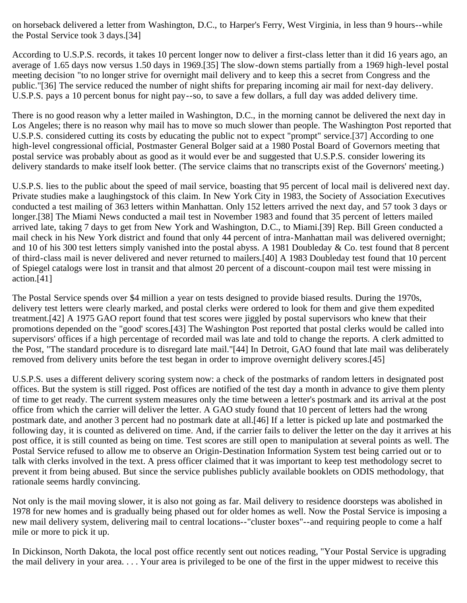on horseback delivered a letter from Washington, D.C., to Harper's Ferry, West Virginia, in less than 9 hours--while the Postal Service took 3 days.[34]

According to U.S.P.S. records, it takes 10 percent longer now to deliver a first-class letter than it did 16 years ago, an average of 1.65 days now versus 1.50 days in 1969.[35] The slow-down stems partially from a 1969 high-level postal meeting decision "to no longer strive for overnight mail delivery and to keep this a secret from Congress and the public."[36] The service reduced the number of night shifts for preparing incoming air mail for next-day delivery. U.S.P.S. pays a 10 percent bonus for night pay--so, to save a few dollars, a full day was added delivery time.

There is no good reason why a letter mailed in Washington, D.C., in the morning cannot be delivered the next day in Los Angeles; there is no reason why mail has to move so much slower than people. The Washington Post reported that U.S.P.S. considered cutting its costs by educating the public not to expect "prompt" service.[37] According to one high-level congressional official, Postmaster General Bolger said at a 1980 Postal Board of Governors meeting that postal service was probably about as good as it would ever be and suggested that U.S.P.S. consider lowering its delivery standards to make itself look better. (The service claims that no transcripts exist of the Governors' meeting.)

U.S.P.S. lies to the public about the speed of mail service, boasting that 95 percent of local mail is delivered next day. Private studies make a laughingstock of this claim. In New York City in 1983, the Society of Association Executives conducted a test mailing of 363 letters within Manhattan. Only 152 letters arrived the next day, and 57 took 3 days or longer.[38] The Miami News conducted a mail test in November 1983 and found that 35 percent of letters mailed arrived late, taking 7 days to get from New York and Washington, D.C., to Miami.[39] Rep. Bill Green conducted a mail check in his New York district and found that only 44 percent of intra-Manhattan mail was delivered overnight; and 10 of his 300 test letters simply vanished into the postal abyss. A 1981 Doubleday  $\&$  Co. test found that 8 percent of third-class mail is never delivered and never returned to mailers.[40] A 1983 Doubleday test found that 10 percent of Spiegel catalogs were lost in transit and that almost 20 percent of a discount-coupon mail test were missing in action.[41]

The Postal Service spends over \$4 million a year on tests designed to provide biased results. During the 1970s, delivery test letters were clearly marked, and postal clerks were ordered to look for them and give them expedited treatment.[42] A 1975 GAO report found that test scores were jiggled by postal supervisors who knew that their promotions depended on the "good' scores.[43] The Washington Post reported that postal clerks would be called into supervisors' offices if a high percentage of recorded mail was late and told to change the reports. A clerk admitted to the Post, "The standard procedure is to disregard late mail."[44] In Detroit, GAO found that late mail was deliberately removed from delivery units before the test began in order to improve overnight delivery scores.[45]

U.S.P.S. uses a different delivery scoring system now: a check of the postmarks of random letters in designated post offices. But the system is still rigged. Post offices are notified of the test day a month in advance to give them plenty of time to get ready. The current system measures only the time between a letter's postmark and its arrival at the post office from which the carrier will deliver the letter. A GAO study found that 10 percent of letters had the wrong postmark date, and another 3 percent had no postmark date at all.[46] If a letter is picked up late and postmarked the following day, it is counted as delivered on time. And, if the carrier fails to deliver the letter on the day it arrives at his post office, it is still counted as being on time. Test scores are still open to manipulation at several points as well. The Postal Service refused to allow me to observe an Origin-Destination Information System test being carried out or to talk with clerks involved in the text. A press officer claimed that it was important to keep test methodology secret to prevent it from being abused. But since the service publishes publicly available booklets on ODIS methodology, that rationale seems hardly convincing.

Not only is the mail moving slower, it is also not going as far. Mail delivery to residence doorsteps was abolished in 1978 for new homes and is gradually being phased out for older homes as well. Now the Postal Service is imposing a new mail delivery system, delivering mail to central locations--"cluster boxes"--and requiring people to come a half mile or more to pick it up.

In Dickinson, North Dakota, the local post office recently sent out notices reading, "Your Postal Service is upgrading the mail delivery in your area. . . . Your area is privileged to be one of the first in the upper midwest to receive this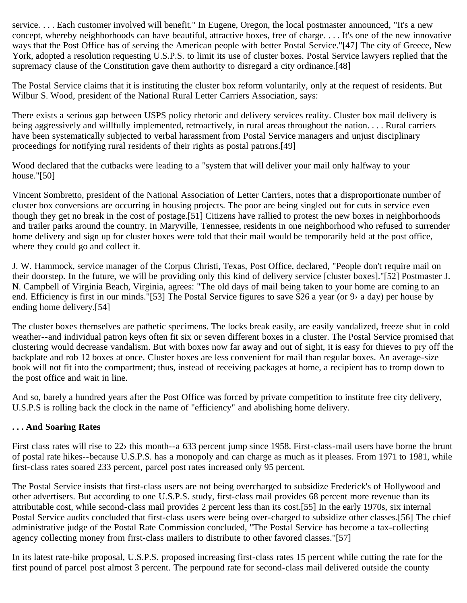service. . . . Each customer involved will benefit." In Eugene, Oregon, the local postmaster announced, "It's a new concept, whereby neighborhoods can have beautiful, attractive boxes, free of charge. . . . It's one of the new innovative ways that the Post Office has of serving the American people with better Postal Service."[47] The city of Greece, New York, adopted a resolution requesting U.S.P.S. to limit its use of cluster boxes. Postal Service lawyers replied that the supremacy clause of the Constitution gave them authority to disregard a city ordinance.[48]

The Postal Service claims that it is instituting the cluster box reform voluntarily, only at the request of residents. But Wilbur S. Wood, president of the National Rural Letter Carriers Association, says:

There exists a serious gap between USPS policy rhetoric and delivery services reality. Cluster box mail delivery is being aggressively and willfully implemented, retroactively, in rural areas throughout the nation. . . . Rural carriers have been systematically subjected to verbal harassment from Postal Service managers and unjust disciplinary proceedings for notifying rural residents of their rights as postal patrons.[49]

Wood declared that the cutbacks were leading to a "system that will deliver your mail only halfway to your house."[50]

Vincent Sombretto, president of the National Association of Letter Carriers, notes that a disproportionate number of cluster box conversions are occurring in housing projects. The poor are being singled out for cuts in service even though they get no break in the cost of postage.[51] Citizens have rallied to protest the new boxes in neighborhoods and trailer parks around the country. In Maryville, Tennessee, residents in one neighborhood who refused to surrender home delivery and sign up for cluster boxes were told that their mail would be temporarily held at the post office, where they could go and collect it.

J. W. Hammock, service manager of the Corpus Christi, Texas, Post Office, declared, "People don't require mail on their doorstep. In the future, we will be providing only this kind of delivery service [cluster boxes]."[52] Postmaster J. N. Campbell of Virginia Beach, Virginia, agrees: "The old days of mail being taken to your home are coming to an end. Efficiency is first in our minds."[53] The Postal Service figures to save \$26 a year (or 9› a day) per house by ending home delivery.[54]

The cluster boxes themselves are pathetic specimens. The locks break easily, are easily vandalized, freeze shut in cold weather--and individual patron keys often fit six or seven different boxes in a cluster. The Postal Service promised that clustering would decrease vandalism. But with boxes now far away and out of sight, it is easy for thieves to pry off the backplate and rob 12 boxes at once. Cluster boxes are less convenient for mail than regular boxes. An average-size book will not fit into the compartment; thus, instead of receiving packages at home, a recipient has to tromp down to the post office and wait in line.

And so, barely a hundred years after the Post Office was forced by private competition to institute free city delivery, U.S.P.S is rolling back the clock in the name of "efficiency" and abolishing home delivery.

#### **. . . And Soaring Rates**

First class rates will rise to 22› this month--a 633 percent jump since 1958. First-class-mail users have borne the brunt of postal rate hikes--because U.S.P.S. has a monopoly and can charge as much as it pleases. From 1971 to 1981, while first-class rates soared 233 percent, parcel post rates increased only 95 percent.

The Postal Service insists that first-class users are not being overcharged to subsidize Frederick's of Hollywood and other advertisers. But according to one U.S.P.S. study, first-class mail provides 68 percent more revenue than its attributable cost, while second-class mail provides 2 percent less than its cost.[55] In the early 1970s, six internal Postal Service audits concluded that first-class users were being over-charged to subsidize other classes.[56] The chief administrative judge of the Postal Rate Commission concluded, "The Postal Service has become a tax-collecting agency collecting money from first-class mailers to distribute to other favored classes."[57]

In its latest rate-hike proposal, U.S.P.S. proposed increasing first-class rates 15 percent while cutting the rate for the first pound of parcel post almost 3 percent. The perpound rate for second-class mail delivered outside the county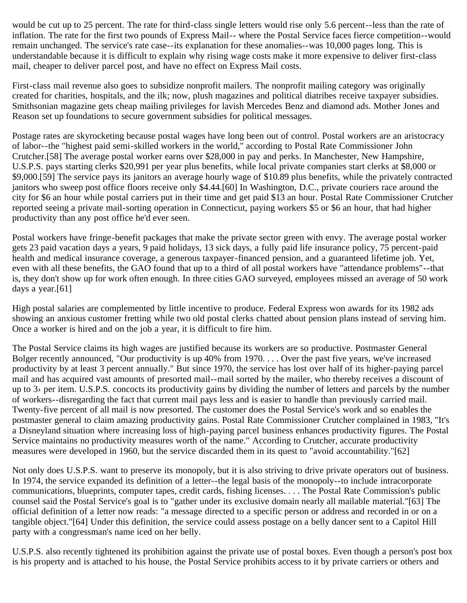would be cut up to 25 percent. The rate for third-class single letters would rise only 5.6 percent--less than the rate of inflation. The rate for the first two pounds of Express Mail-- where the Postal Service faces fierce competition--would remain unchanged. The service's rate case--its explanation for these anomalies--was 10,000 pages long. This is understandable because it is difficult to explain why rising wage costs make it more expensive to deliver first-class mail, cheaper to deliver parcel post, and have no effect on Express Mail costs.

First-class mail revenue also goes to subsidize nonprofit mailers. The nonprofit mailing category was originally created for charities, hospitals, and the ilk; now, plush magazines and political diatribes receive taxpayer subsidies. Smithsonian magazine gets cheap mailing privileges for lavish Mercedes Benz and diamond ads. Mother Jones and Reason set up foundations to secure government subsidies for political messages.

Postage rates are skyrocketing because postal wages have long been out of control. Postal workers are an aristocracy of labor--the "highest paid semi-skilled workers in the world," according to Postal Rate Commissioner John Crutcher.[58] The average postal worker earns over \$28,000 in pay and perks. In Manchester, New Hampshire, U.S.P.S. pays starting clerks \$20,991 per year plus benefits, while local private companies start clerks at \$8,000 or \$9,000.[59] The service pays its janitors an average hourly wage of \$10.89 plus benefits, while the privately contracted janitors who sweep post office floors receive only \$4.44.[60] In Washington, D.C., private couriers race around the city for \$6 an hour while postal carriers put in their time and get paid \$13 an hour. Postal Rate Commissioner Crutcher reported seeing a private mail-sorting operation in Connecticut, paying workers \$5 or \$6 an hour, that had higher productivity than any post office he'd ever seen.

Postal workers have fringe-benefit packages that make the private sector green with envy. The average postal worker gets 23 paid vacation days a years, 9 paid holidays, 13 sick days, a fully paid life insurance policy, 75 percent-paid health and medical insurance coverage, a generous taxpayer-financed pension, and a guaranteed lifetime job. Yet, even with all these benefits, the GAO found that up to a third of all postal workers have "attendance problems"--that is, they don't show up for work often enough. In three cities GAO surveyed, employees missed an average of 50 work days a year.[61]

High postal salaries are complemented by little incentive to produce. Federal Express won awards for its 1982 ads showing an anxious customer fretting while two old postal clerks chatted about pension plans instead of serving him. Once a worker is hired and on the job a year, it is difficult to fire him.

The Postal Service claims its high wages are justified because its workers are so productive. Postmaster General Bolger recently announced, "Our productivity is up 40% from 1970. . . . Over the past five years, we've increased productivity by at least 3 percent annually." But since 1970, the service has lost over half of its higher-paying parcel mail and has acquired vast amounts of presorted mail--mail sorted by the mailer, who thereby receives a discount of up to 3› per item. U.S.P.S. concocts its productivity gains by dividing the number of letters and parcels by the number of workers--disregarding the fact that current mail pays less and is easier to handle than previously carried mail. Twenty-five percent of all mail is now presorted. The customer does the Postal Service's work and so enables the postmaster general to claim amazing productivity gains. Postal Rate Commissioner Crutcher complained in 1983, "It's a Disneyland situation where increasing loss of high-paying parcel business enhances productivity figures. The Postal Service maintains no productivity measures worth of the name." According to Crutcher, accurate productivity measures were developed in 1960, but the service discarded them in its quest to "avoid accountability."[62]

Not only does U.S.P.S. want to preserve its monopoly, but it is also striving to drive private operators out of business. In 1974, the service expanded its definition of a letter--the legal basis of the monopoly--to include intracorporate communications, blueprints, computer tapes, credit cards, fishing licenses. . . . The Postal Rate Commission's public counsel said the Postal Service's goal is to "gather under its exclusive domain nearly all mailable material."[63] The official definition of a letter now reads: "a message directed to a specific person or address and recorded in or on a tangible object."[64] Under this definition, the service could assess postage on a belly dancer sent to a Capitol Hill party with a congressman's name iced on her belly.

U.S.P.S. also recently tightened its prohibition against the private use of postal boxes. Even though a person's post box is his property and is attached to his house, the Postal Service prohibits access to it by private carriers or others and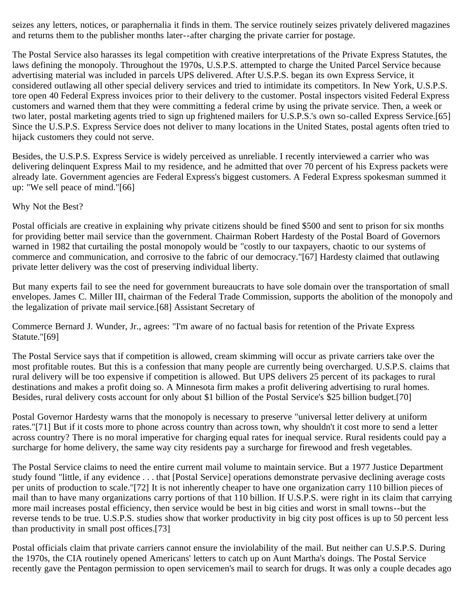seizes any letters, notices, or paraphernalia it finds in them. The service routinely seizes privately delivered magazines and returns them to the publisher months later--after charging the private carrier for postage.

The Postal Service also harasses its legal competition with creative interpretations of the Private Express Statutes, the laws defining the monopoly. Throughout the 1970s, U.S.P.S. attempted to charge the United Parcel Service because advertising material was included in parcels UPS delivered. After U.S.P.S. began its own Express Service, it considered outlawing all other special delivery services and tried to intimidate its competitors. In New York, U.S.P.S. tore open 40 Federal Express invoices prior to their delivery to the customer. Postal inspectors visited Federal Express customers and warned them that they were committing a federal crime by using the private service. Then, a week or two later, postal marketing agents tried to sign up frightened mailers for U.S.P.S.'s own so-called Express Service.[65] Since the U.S.P.S. Express Service does not deliver to many locations in the United States, postal agents often tried to hijack customers they could not serve.

Besides, the U.S.P.S. Express Service is widely perceived as unreliable. I recently interviewed a carrier who was delivering delinquent Express Mail to my residence, and he admitted that over 70 percent of his Express packets were already late. Government agencies are Federal Express's biggest customers. A Federal Express spokesman summed it up: "We sell peace of mind."[66]

Why Not the Best?

Postal officials are creative in explaining why private citizens should be fined \$500 and sent to prison for six months for providing better mail service than the government. Chairman Robert Hardesty of the Postal Board of Governors warned in 1982 that curtailing the postal monopoly would be "costly to our taxpayers, chaotic to our systems of commerce and communication, and corrosive to the fabric of our democracy."[67] Hardesty claimed that outlawing private letter delivery was the cost of preserving individual liberty.

But many experts fail to see the need for government bureaucrats to have sole domain over the transportation of small envelopes. James C. Miller III, chairman of the Federal Trade Commission, supports the abolition of the monopoly and the legalization of private mail service.[68] Assistant Secretary of

Commerce Bernard J. Wunder, Jr., agrees: "I'm aware of no factual basis for retention of the Private Express Statute."[69]

The Postal Service says that if competition is allowed, cream skimming will occur as private carriers take over the most profitable routes. But this is a confession that many people are currently being overcharged. U.S.P.S. claims that rural delivery will be too expensive if competition is allowed. But UPS delivers 25 percent of its packages to rural destinations and makes a profit doing so. A Minnesota firm makes a profit delivering advertising to rural homes. Besides, rural delivery costs account for only about \$1 billion of the Postal Service's \$25 billion budget.[70]

Postal Governor Hardesty warns that the monopoly is necessary to preserve "universal letter delivery at uniform rates."[71] But if it costs more to phone across country than across town, why shouldn't it cost more to send a letter across country? There is no moral imperative for charging equal rates for inequal service. Rural residents could pay a surcharge for home delivery, the same way city residents pay a surcharge for firewood and fresh vegetables.

The Postal Service claims to need the entire current mail volume to maintain service. But a 1977 Justice Department study found "little, if any evidence . . . that [Postal Service] operations demonstrate pervasive declining average costs per units of production to scale."[72] It is not inherently cheaper to have one organization carry 110 billion pieces of mail than to have many organizations carry portions of that 110 billion. If U.S.P.S. were right in its claim that carrying more mail increases postal efficiency, then service would be best in big cities and worst in small towns--but the reverse tends to be true. U.S.P.S. studies show that worker productivity in big city post offices is up to 50 percent less than productivity in small post offices.[73]

Postal officials claim that private carriers cannot ensure the inviolability of the mail. But neither can U.S.P.S. During the 1970s, the CIA routinely opened Americans' letters to catch up on Aunt Martha's doings. The Postal Service recently gave the Pentagon permission to open servicemen's mail to search for drugs. It was only a couple decades ago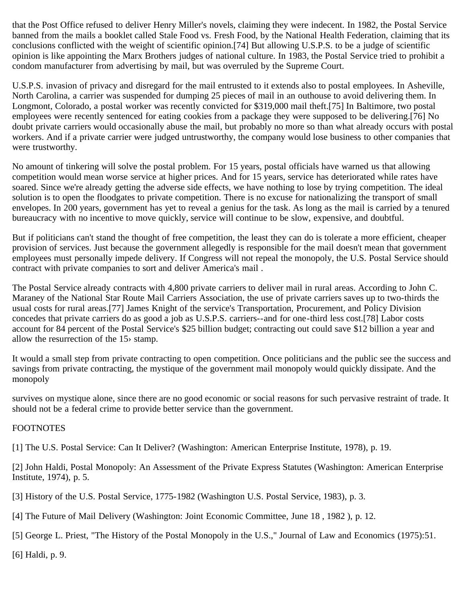that the Post Office refused to deliver Henry Miller's novels, claiming they were indecent. In 1982, the Postal Service banned from the mails a booklet called Stale Food vs. Fresh Food, by the National Health Federation, claiming that its conclusions conflicted with the weight of scientific opinion.[74] But allowing U.S.P.S. to be a judge of scientific opinion is like appointing the Marx Brothers judges of national culture. In 1983, the Postal Service tried to prohibit a condom manufacturer from advertising by mail, but was overruled by the Supreme Court.

U.S.P.S. invasion of privacy and disregard for the mail entrusted to it extends also to postal employees. In Asheville, North Carolina, a carrier was suspended for dumping 25 pieces of mail in an outhouse to avoid delivering them. In Longmont, Colorado, a postal worker was recently convicted for \$319,000 mail theft.[75] In Baltimore, two postal employees were recently sentenced for eating cookies from a package they were supposed to be delivering.[76] No doubt private carriers would occasionally abuse the mail, but probably no more so than what already occurs with postal workers. And if a private carrier were judged untrustworthy, the company would lose business to other companies that were trustworthy.

No amount of tinkering will solve the postal problem. For 15 years, postal officials have warned us that allowing competition would mean worse service at higher prices. And for 15 years, service has deteriorated while rates have soared. Since we're already getting the adverse side effects, we have nothing to lose by trying competition. The ideal solution is to open the floodgates to private competition. There is no excuse for nationalizing the transport of small envelopes. In 200 years, government has yet to reveal a genius for the task. As long as the mail is carried by a tenured bureaucracy with no incentive to move quickly, service will continue to be slow, expensive, and doubtful.

But if politicians can't stand the thought of free competition, the least they can do is tolerate a more efficient, cheaper provision of services. Just because the government allegedly is responsible for the mail doesn't mean that government employees must personally impede delivery. If Congress will not repeal the monopoly, the U.S. Postal Service should contract with private companies to sort and deliver America's mail .

The Postal Service already contracts with 4,800 private carriers to deliver mail in rural areas. According to John C. Maraney of the National Star Route Mail Carriers Association, the use of private carriers saves up to two-thirds the usual costs for rural areas.[77] James Knight of the service's Transportation, Procurement, and Policy Division concedes that private carriers do as good a job as U.S.P.S. carriers--and for one-third less cost.[78] Labor costs account for 84 percent of the Postal Service's \$25 billion budget; contracting out could save \$12 billion a year and allow the resurrection of the 15› stamp.

It would a small step from private contracting to open competition. Once politicians and the public see the success and savings from private contracting, the mystique of the government mail monopoly would quickly dissipate. And the monopoly

survives on mystique alone, since there are no good economic or social reasons for such pervasive restraint of trade. It should not be a federal crime to provide better service than the government.

#### FOOTNOTES

[1] The U.S. Postal Service: Can It Deliver? (Washington: American Enterprise Institute, 1978), p. 19.

[2] John Haldi, Postal Monopoly: An Assessment of the Private Express Statutes (Washington: American Enterprise Institute, 1974), p. 5.

[3] History of the U.S. Postal Service, 1775-1982 (Washington U.S. Postal Service, 1983), p. 3.

[4] The Future of Mail Delivery (Washington: Joint Economic Committee, June 18 , 1982 ), p. 12.

[5] George L. Priest, "The History of the Postal Monopoly in the U.S.," Journal of Law and Economics (1975):51.

[6] Haldi, p. 9.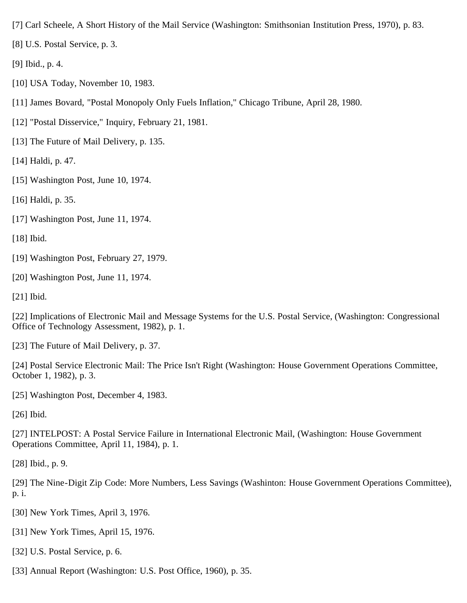[7] Carl Scheele, A Short History of the Mail Service (Washington: Smithsonian Institution Press, 1970), p. 83.

[8] U.S. Postal Service, p. 3.

[9] Ibid., p. 4.

[10] USA Today, November 10, 1983.

[11] James Bovard, "Postal Monopoly Only Fuels Inflation," Chicago Tribune, April 28, 1980.

[12] "Postal Disservice," Inquiry, February 21, 1981.

[13] The Future of Mail Delivery, p. 135.

[14] Haldi, p. 47.

[15] Washington Post, June 10, 1974.

[16] Haldi, p. 35.

[17] Washington Post, June 11, 1974.

[18] Ibid.

[19] Washington Post, February 27, 1979.

[20] Washington Post, June 11, 1974.

[21] Ibid.

[22] Implications of Electronic Mail and Message Systems for the U.S. Postal Service, (Washington: Congressional Office of Technology Assessment, 1982), p. 1.

[23] The Future of Mail Delivery, p. 37.

[24] Postal Service Electronic Mail: The Price Isn't Right (Washington: House Government Operations Committee, October 1, 1982), p. 3.

[25] Washington Post, December 4, 1983.

[26] Ibid.

[27] INTELPOST: A Postal Service Failure in International Electronic Mail, (Washington: House Government Operations Committee, April 11, 1984), p. 1.

[28] Ibid., p. 9.

[29] The Nine-Digit Zip Code: More Numbers, Less Savings (Washinton: House Government Operations Committee), p. i.

[30] New York Times, April 3, 1976.

[31] New York Times, April 15, 1976.

[32] U.S. Postal Service, p. 6.

[33] Annual Report (Washington: U.S. Post Office, 1960), p. 35.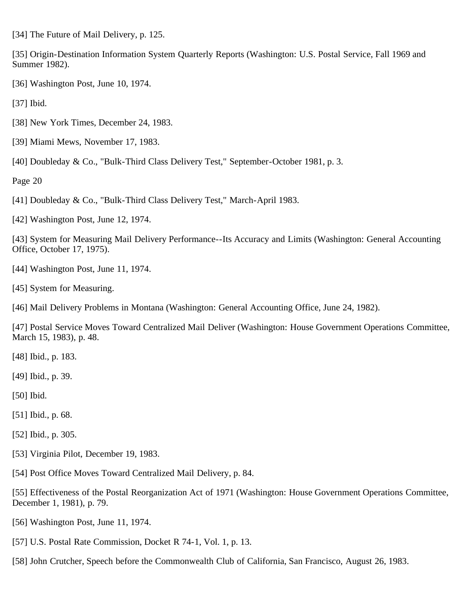[34] The Future of Mail Delivery, p. 125.

[35] Origin-Destination Information System Quarterly Reports (Washington: U.S. Postal Service, Fall 1969 and Summer 1982).

[36] Washington Post, June 10, 1974.

[37] Ibid.

- [38] New York Times, December 24, 1983.
- [39] Miami Mews, November 17, 1983.
- [40] Doubleday & Co., "Bulk-Third Class Delivery Test," September-October 1981, p. 3.

Page 20

- [41] Doubleday & Co., "Bulk-Third Class Delivery Test," March-April 1983.
- [42] Washington Post, June 12, 1974.

[43] System for Measuring Mail Delivery Performance--Its Accuracy and Limits (Washington: General Accounting Office, October 17, 1975).

- [44] Washington Post, June 11, 1974.
- [45] System for Measuring.
- [46] Mail Delivery Problems in Montana (Washington: General Accounting Office, June 24, 1982).

[47] Postal Service Moves Toward Centralized Mail Deliver (Washington: House Government Operations Committee, March 15, 1983), p. 48.

- [48] Ibid., p. 183.
- [49] Ibid., p. 39.
- [50] Ibid.
- [51] Ibid., p. 68.
- [52] Ibid., p. 305.
- [53] Virginia Pilot, December 19, 1983.
- [54] Post Office Moves Toward Centralized Mail Delivery, p. 84.

[55] Effectiveness of the Postal Reorganization Act of 1971 (Washington: House Government Operations Committee, December 1, 1981), p. 79.

- [56] Washington Post, June 11, 1974.
- [57] U.S. Postal Rate Commission, Docket R 74-1, Vol. 1, p. 13.
- [58] John Crutcher, Speech before the Commonwealth Club of California, San Francisco, August 26, 1983.